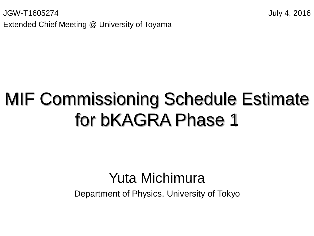JGW-T1605274 July 4, 2016 Extended Chief Meeting @ University of Toyama

#### MIF Commissioning Schedule Estimate for bKAGRA Phase 1

#### Yuta Michimura

Department of Physics, University of Tokyo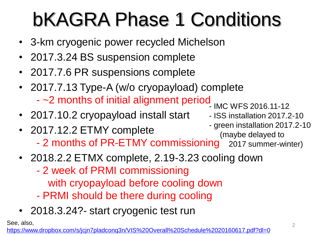### bKAGRA Phase 1 Conditions

- 3-km cryogenic power recycled Michelson
- 2017.3.24 BS suspension complete
- 2017.7.6 PR suspensions complete
- 2017.7.13 Type-A (w/o cryopayload) complete - ~2 months of initial alignment period - IMC WFS 2016.11-12
- 2017.10.2 cryopayload install start
- 2017.12.2 ETMY complete - 2 months of PR-ETMY commissioning - green installation 2017.2-10 (maybe delayed to 2017 summer-winter)
- 2018.2.2 ETMX complete, 2.19-3.23 cooling down
	- 2 week of PRMI commissioning with cryopayload before cooling down
	- PRMI should be there during cooling
- 2018.3.24?- start cryogenic test run

See, also,

[https://www.dropbox.com/s/jcjn7pladconq3n/VIS%20Overall%20Schedule%2020160617.pdf?dl=0](https://www.dropbox.com/s/jcjn7pladconq3n/VIS Overall Schedule 20160617.pdf?dl=0)

- ISS installation 2017.2-10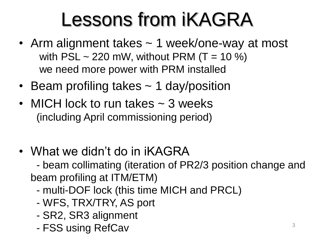#### Lessons from iKAGRA

- Arm alignment takes ~ 1 week/one-way at most with  $PSL \sim 220$  mW, without PRM (T = 10 %) we need more power with PRM installed
- Beam profiling takes ~ 1 day/position
- MICH lock to run takes  $\sim$  3 weeks (including April commissioning period)
- What we didn't do in iKAGRA

- beam collimating (iteration of PR2/3 position change and beam profiling at ITM/ETM)

- multi-DOF lock (this time MICH and PRCL)
- WFS, TRX/TRY, AS port
- SR2, SR3 alignment
- FSS using RefCav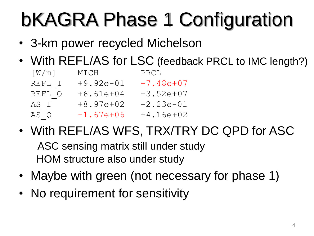## bKAGRA Phase 1 Configuration

- 3-km power recycled Michelson
- With REFL/AS for LSC (feedback PRCL to IMC length?)

| [W/m]  | MICH        | PRCL        |
|--------|-------------|-------------|
| REFL I | $+9.92e-01$ | $-7.48e+07$ |
| REFL Q | $+6.61e+04$ | $-3.52e+07$ |
| AS I   | $+8.97e+02$ | $-2.23e-01$ |
| AS Q   | $-1.67e+06$ | $+4.16e+02$ |

• With REFL/AS WFS, TRX/TRY DC QPD for ASC

ASC sensing matrix still under study HOM structure also under study

- Maybe with green (not necessary for phase 1)
- No requirement for sensitivity